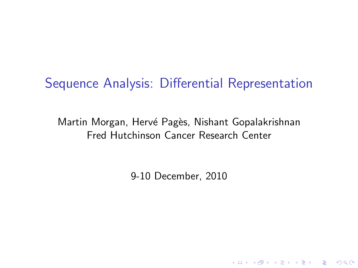# Sequence Analysis: Differential Representation

Martin Morgan, Hervé Pagès, Nishant Gopalakrishnan Fred Hutchinson Cancer Research Center

9-10 December, 2010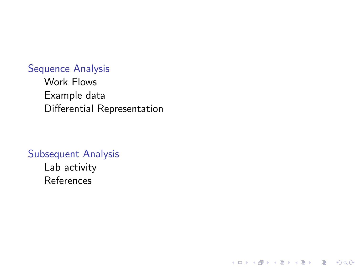#### [Sequence Analysis](#page-2-0)

[Work Flows](#page-2-0) [Example data](#page-5-0) [Differential Representation](#page-7-0)

K ロ ▶ K 레 ▶ K 코 ▶ K 코 ▶ 『코 │ ◆ 9 Q Q ↓

#### [Subsequent Analysis](#page-10-0)

[Lab activity](#page-11-0) [References](#page-12-0)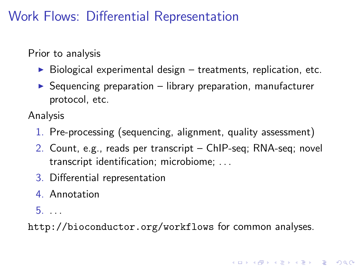## Work Flows: Differential Representation

Prior to analysis

- $\triangleright$  Biological experimental design treatments, replication, etc.
- $\triangleright$  Sequencing preparation library preparation, manufacturer protocol, etc.

Analysis

- 1. Pre-processing (sequencing, alignment, quality assessment)
- 2. Count, e.g., reads per transcript ChIP-seq; RNA-seq; novel transcript identification; microbiome; . . .
- 3. Differential representation
- 4. Annotation
- 5. . . .

<span id="page-2-0"></span><http://bioconductor.org/workflows> for common analyses.

4 0 > 4 4 + 4 = + 4 = + = + + 0 4 0 +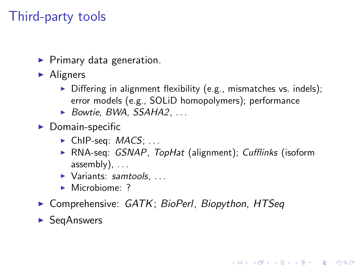# Third-party tools

- $\blacktriangleright$  Primary data generation.
- $\blacktriangleright$  Aligners
	- $\triangleright$  Differing in alignment flexibility (e.g., mismatches vs. indels); error models (e.g., SOLiD homopolymers); performance
	- $\triangleright$  [Bowtie](http://bowtie-bio.sourceforge.net/), [BWA](http://bio-bwa.sourceforge.net/), [SSAHA2](http://www.sanger.ac.uk/resources/software/ssaha2/), ...
- $\blacktriangleright$  Domain-specific
	- $\blacktriangleright$  ChIP-seq:  $MACS$ ; ...
	- ▶ RNA-seq: [GSNAP](http://research-pub.gene.com/gmap/), TopHat (alignment); Cufflinks (isoform assembly),  $\dots$

**KORKARYKERKER POLO** 

- $\blacktriangleright$  Variants: [samtools](http://samtools.sourceforge.net/), ...
- $\blacktriangleright$  Microbiome: ?
- ▶ Comprehensive: [GATK](http://www.broadinstitute.org/gsa/wiki/index.php/The_Genome_Analysis_Toolkit); [BioPerl](http://www.bioperl.org/), [Biopython](http://biopython.org/), HTSea

 $\blacktriangleright$  [SeqAnswers](http://seqanswers.com/wiki/Special:BrowseData)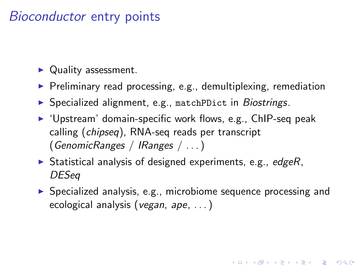### Bioconductor entry points

- $\blacktriangleright$  Quality assessment.
- $\triangleright$  Preliminary read processing, e.g., demultiplexing, remediation
- ▶ Specialized alignment, e.g., matchPDict in [Biostrings](http://bioconductor.org/packages/release/bioc/html/Biostrings.html).
- $\triangleright$  'Upstream' domain-specific work flows, e.g., ChIP-seq peak calling ([chipseq](http://bioconductor.org/packages/release/bioc/html/chipseq.html)), RNA-seq reads per transcript ([GenomicRanges](http://bioconductor.org/packages/release/bioc/html/GenomicRanges.html) / [IRanges](http://bioconductor.org/packages/release/bioc/html/IRanges.html) / . . . )
- $\triangleright$  Statistical analysis of designed experiments, e.g., [edgeR](http://bioconductor.org/packages/release/bioc/html/edgeR.html), [DESeq](http://bioconductor.org/packages/release/bioc/html/DESeq.html)
- $\triangleright$  Specialized analysis, e.g., microbiome sequence processing and ecological analysis (vegan, ape, . . . )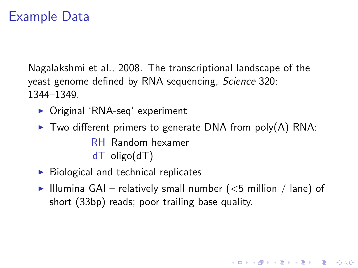#### Example Data

Nagalakshmi et al., 2008. The transcriptional landscape of the yeast genome defined by RNA sequencing, Science 320: 1344–1349.

- ▶ Original 'RNA-seq' experiment
- $\triangleright$  Two different primers to generate DNA from poly(A) RNA: RH Random hexamer dT oligo(dT)
- $\triangleright$  Biological and technical replicates
- <span id="page-5-0"></span>Illumina GAI – relatively small number ( $<$ 5 million / lane) of short (33bp) reads; poor trailing base quality.

**KORKARYKERKER POLO**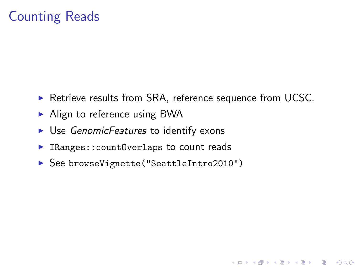## Counting Reads

▶ Retrieve results from SRA, reference sequence from UCSC.

**KOD KAD KED KED DRA** 

- $\blacktriangleright$  Align to reference using BWA
- $\triangleright$  Use [GenomicFeatures](http://bioconductor.org/packages/release/bioc/html/GenomicFeatures.html) to identify exons
- $\blacktriangleright$  IRanges:: countOverlaps to count reads
- ▶ See browseVignette("SeattleIntro2010")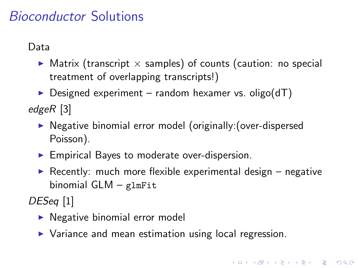## Bioconductor Solutions

Data

- $\triangleright$  Matrix (transcript  $\times$  samples) of counts (caution: no special treatment of overlapping transcripts!)
- $\triangleright$  Designed experiment random hexamer vs. oligo(dT)

[edgeR](http://bioconductor.org/packages/release/bioc/html/edgeR.html) [\[3\]](#page-12-1)

- ▶ Negative binomial error model (originally: (over-dispersed Poisson).
- $\blacktriangleright$  Empirical Bayes to moderate over-dispersion.
- Recently: much more flexible experimental design  $-$  negative binomial GLM – glmFit

4 0 > 4 4 + 4 = + 4 = + = + + 0 4 0 +

[DESeq](http://bioconductor.org/packages/release/bioc/html/DESeq.html) [\[1\]](#page-12-2)

- $\blacktriangleright$  Negative binomial error model
- <span id="page-7-0"></span> $\triangleright$  Variance and mean estimation using local regression.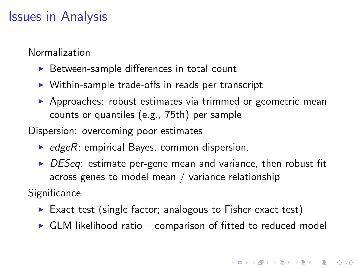### Issues in Analysis

Normalization

- $\triangleright$  Between-sample differences in total count
- $\triangleright$  Within-sample trade-offs in reads per transcript
- $\triangleright$  Approaches: robust estimates via trimmed or geometric mean counts or quantiles (e.g., 75th) per sample

Dispersion: overcoming poor estimates

- $\blacktriangleright$  [edgeR](http://bioconductor.org/packages/release/bioc/html/edgeR.html): empirical Bayes, common dispersion.
- $\triangleright$  [DESeq](http://bioconductor.org/packages/release/bioc/html/DESeq.html): estimate per-gene mean and variance, then robust fit across genes to model mean / variance relationship

**Significance** 

- Exact test (single factor; analogous to Fisher exact test)
- $\triangleright$  GLM likelihood ratio comparison of fitted to reduced model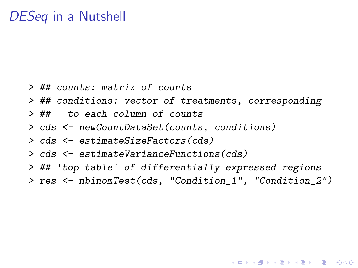#### [DESeq](http://bioconductor.org/packages/release/bioc/html/DESeq.html) in a Nutshell

- > ## counts: matrix of counts
- > ## conditions: vector of treatments, corresponding
- > ## to each column of counts
- > cds <- newCountDataSet(counts, conditions)
- > cds <- estimateSizeFactors(cds)
- > cds <- estimateVarianceFunctions(cds)
- > ## 'top table' of differentially expressed regions
- > res <- nbinomTest(cds, "Condition\_1", "Condition\_2")

**KORKARYKERKER POLO**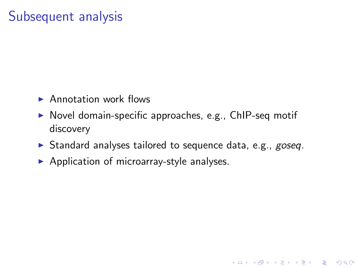## Subsequent analysis

- $\blacktriangleright$  Annotation work flows
- $\triangleright$  Novel domain-specific approaches, e.g., ChIP-seq motif discovery
- $\triangleright$  Standard analyses tailored to sequence data, e.g., [goseq](http://bioconductor.org/packages/release/bioc/html/goseq.html).

<span id="page-10-0"></span> $\blacktriangleright$  Application of microarray-style analyses.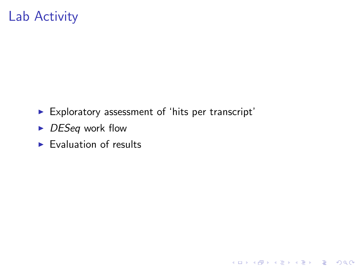## Lab Activity

 $\blacktriangleright$  Exploratory assessment of 'hits per transcript'

K ロ ▶ K 個 ▶ K 할 ▶ K 할 ▶ 이 할 → 9 Q Q →

- $\triangleright$  [DESeq](http://bioconductor.org/packages/release/bioc/html/DESeq.html) work flow
- <span id="page-11-0"></span> $\blacktriangleright$  Evaluation of results